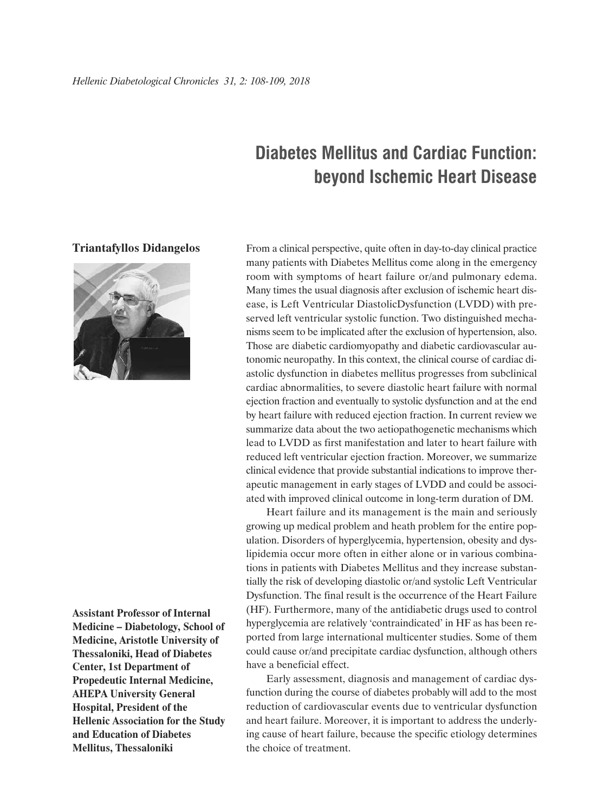## **Diabetes Mellitus and Cardiac Function: beyond Ischemic Heart Disease**

## **Triantafyllos Didangelos**



**Assistant Professor of Internal Medicine – Diabetology, School of Medicine, Aristotle University of Thessaloniki, Head of Diabetes Center, 1st Department of Propedeutic Internal Medicine, AHEPA University General Hospital, President of the Hellenic Association for the Study and Education of Diabetes Mellitus, Thessaloniki**

From a clinical perspective, quite often in day-to-day clinical practice many patients with Diabetes Mellitus come along in the emergency room with symptoms of heart failure or/and pulmonary edema. Many times the usual diagnosis after exclusion of ischemic heart disease, is Left Ventricular DiastolicDysfunction (LVDD) with preserved left ventricular systolic function. Two distinguished mechanisms seem to be implicated after the exclusion of hypertension, also. Those are diabetic cardiomyopathy and diabetic cardiovascular autonomic neuropathy. In this context, the clinical course of cardiac diastolic dysfunction in diabetes mellitus progresses from subclinical cardiac abnormalities, to severe diastolic heart failure with normal ejection fraction and eventually to systolic dysfunction and at the end by heart failure with reduced ejection fraction. In current review we summarize data about the two aetiopathogenetic mechanisms which lead to LVDD as first manifestation and later to heart failure with reduced left ventricular ejection fraction. Moreover, we summarize clinical evidence that provide substantial indications to improve therapeutic management in early stages of LVDD and could be associated with improved clinical outcome in long-term duration of DM.

Heart failure and its management is the main and seriously growing up medical problem and heath problem for the entire population. Disorders of hyperglycemia, hypertension, obesity and dyslipidemia occur more often in either alone or in various combinations in patients with Diabetes Mellitus and they increase substantially the risk of developing diastolic or/and systolic Left Ventricular Dysfunction. The final result is the occurrence of the Heart Failure (HF). Furthermore, many of the antidiabetic drugs used to control hyperglycemia are relatively 'contraindicated' in HF as has been reported from large international multicenter studies. Some of them could cause or/and precipitate cardiac dysfunction, although others have a beneficial effect.

Early assessment, diagnosis and management of cardiac dysfunction during the course of diabetes probably will add to the most reduction of cardiovascular events due to ventricular dysfunction and heart failure. Moreover, it is important to address the underlying cause of heart failure, because the specific etiology determines the choice of treatment.